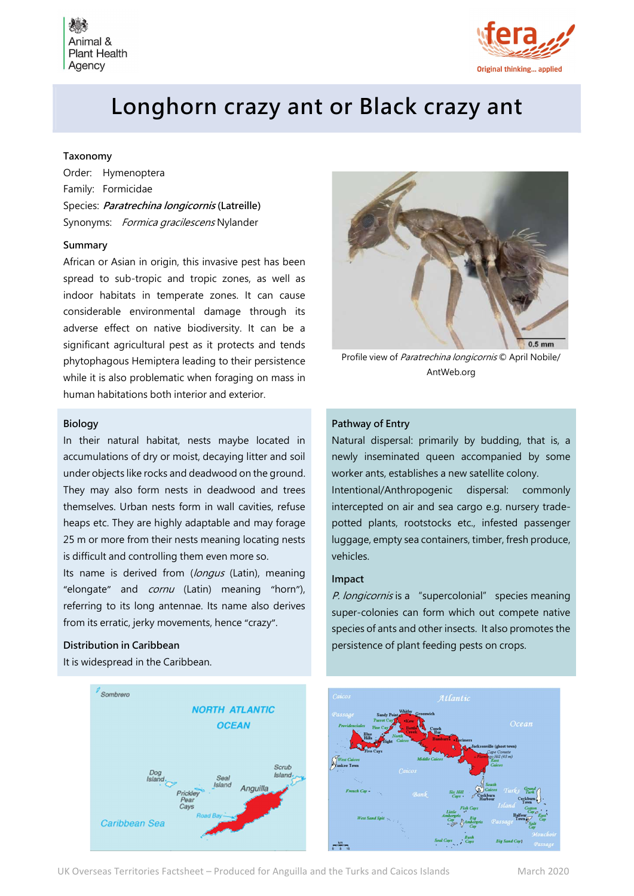

# Longhorn crazy ant or Black crazy ant

## Taxonomy

Order: Hymenoptera Family: Formicidae Species: Paratrechina longicornis (Latreille) Synonyms: *Formica gracilescens* Nylander

#### Summary

African or Asian in origin, this invasive pest has been spread to sub-tropic and tropic zones, as well as indoor habitats in temperate zones. It can cause considerable environmental damage through its adverse effect on native biodiversity. It can be a significant agricultural pest as it protects and tends phytophagous Hemiptera leading to their persistence while it is also problematic when foraging on mass in human habitations both interior and exterior.

#### Biology

In their natural habitat, nests maybe located in accumulations of dry or moist, decaying litter and soil under objects like rocks and deadwood on the ground. They may also form nests in deadwood and trees themselves. Urban nests form in wall cavities, refuse heaps etc. They are highly adaptable and may forage 25 m or more from their nests meaning locating nests is difficult and controlling them even more so.

Its name is derived from (longus (Latin), meaning "elongate" and *cornu* (Latin) meaning "horn"), referring to its long antennae. Its name also derives from its erratic, jerky movements, hence "crazy".

## Distribution in Caribbean

It is widespread in the Caribbean.



Profile view of Paratrechina longicornis © April Nobile/ AntWeb.org

#### Pathway of Entry

Natural dispersal: primarily by budding, that is, a newly inseminated queen accompanied by some worker ants, establishes a new satellite colony. Intentional/Anthropogenic dispersal: commonly intercepted on air and sea cargo e.g. nursery tradepotted plants, rootstocks etc., infested passenger luggage, empty sea containers, timber, fresh produce, vehicles.

#### Impact

P. longicornis is a "supercolonial" species meaning super-colonies can form which out compete native species of ants and other insects. It also promotes the persistence of plant feeding pests on crops.